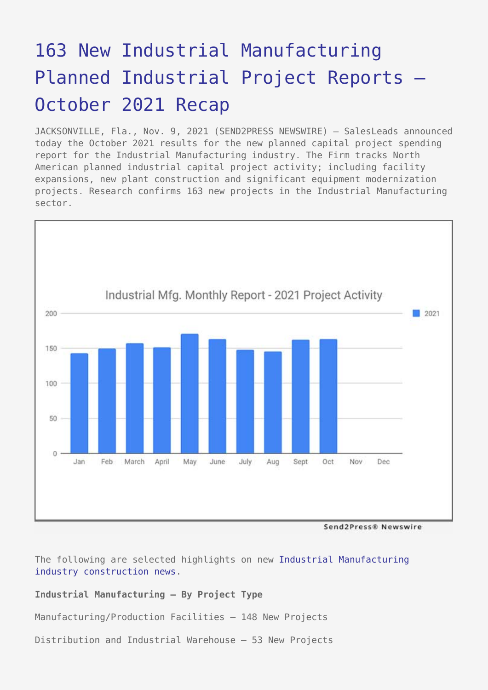# [163 New Industrial Manufacturing](https://www.send2press.com/wire/163-new-industrial-manufacturing-planned-industrial-project-reports-october-2021-recap/) [Planned Industrial Project Reports –](https://www.send2press.com/wire/163-new-industrial-manufacturing-planned-industrial-project-reports-october-2021-recap/) [October 2021 Recap](https://www.send2press.com/wire/163-new-industrial-manufacturing-planned-industrial-project-reports-october-2021-recap/)

JACKSONVILLE, Fla., Nov. 9, 2021 (SEND2PRESS NEWSWIRE) — SalesLeads announced today the October 2021 results for the new planned capital project spending report for the Industrial Manufacturing industry. The Firm tracks North American planned industrial capital project activity; including facility expansions, new plant construction and significant equipment modernization projects. Research confirms 163 new projects in the Industrial Manufacturing sector.



Send2Press® Newswire

The following are selected highlights on new [Industrial Manufacturing](https://www.salesleadsinc.com/industry/industrial-manufacturing/) [industry construction news.](https://www.salesleadsinc.com/industry/industrial-manufacturing/)

# **Industrial Manufacturing – By Project Type**

Manufacturing/Production Facilities – 148 New Projects

Distribution and Industrial Warehouse – 53 New Projects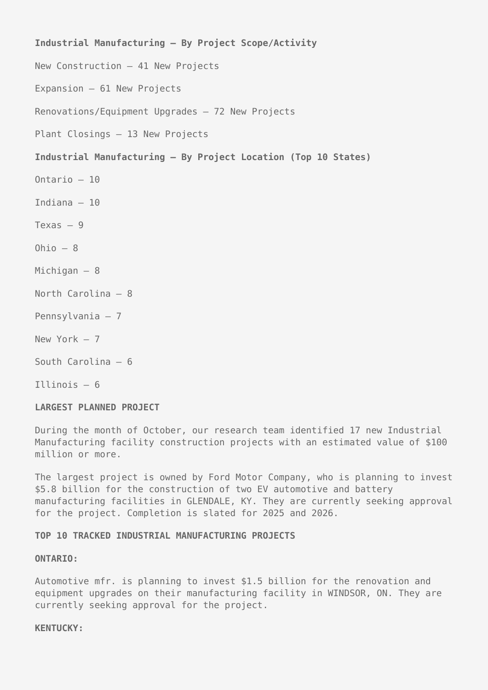# **Industrial Manufacturing – By Project Scope/Activity**

- New Construction 41 New Projects
- Expansion 61 New Projects

Renovations/Equipment Upgrades – 72 New Projects

Plant Closings – 13 New Projects

## **Industrial Manufacturing – By Project Location (Top 10 States)**

- Ontario 10
- Indiana 10
- Texas  $-9$
- Ohio  $-8$
- Michigan 8
- North Carolina 8
- Pennsylvania 7
- New York 7
- South Carolina 6
- Illinois 6

### **LARGEST PLANNED PROJECT**

During the month of October, our research team identified 17 new Industrial Manufacturing facility construction projects with an estimated value of \$100 million or more.

The largest project is owned by Ford Motor Company, who is planning to invest \$5.8 billion for the construction of two EV automotive and battery manufacturing facilities in GLENDALE, KY. They are currently seeking approval for the project. Completion is slated for 2025 and 2026.

# **TOP 10 TRACKED INDUSTRIAL MANUFACTURING PROJECTS**

#### **ONTARIO:**

Automotive mfr. is planning to invest \$1.5 billion for the renovation and equipment upgrades on their manufacturing facility in WINDSOR, ON. They are currently seeking approval for the project.

#### **KENTUCKY:**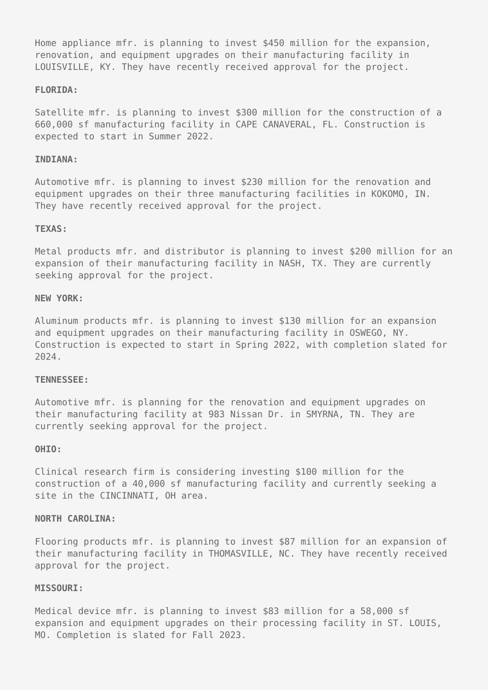Home appliance mfr. is planning to invest \$450 million for the expansion, renovation, and equipment upgrades on their manufacturing facility in LOUISVILLE, KY. They have recently received approval for the project.

#### **FLORIDA:**

Satellite mfr. is planning to invest \$300 million for the construction of a 660,000 sf manufacturing facility in CAPE CANAVERAL, FL. Construction is expected to start in Summer 2022.

#### **INDIANA:**

Automotive mfr. is planning to invest \$230 million for the renovation and equipment upgrades on their three manufacturing facilities in KOKOMO, IN. They have recently received approval for the project.

#### **TEXAS:**

Metal products mfr. and distributor is planning to invest \$200 million for an expansion of their manufacturing facility in NASH, TX. They are currently seeking approval for the project.

## **NEW YORK:**

Aluminum products mfr. is planning to invest \$130 million for an expansion and equipment upgrades on their manufacturing facility in OSWEGO, NY. Construction is expected to start in Spring 2022, with completion slated for 2024.

#### **TENNESSEE:**

Automotive mfr. is planning for the renovation and equipment upgrades on their manufacturing facility at 983 Nissan Dr. in SMYRNA, TN. They are currently seeking approval for the project.

#### **OHIO:**

Clinical research firm is considering investing \$100 million for the construction of a 40,000 sf manufacturing facility and currently seeking a site in the CINCINNATI, OH area.

# **NORTH CAROLINA:**

Flooring products mfr. is planning to invest \$87 million for an expansion of their manufacturing facility in THOMASVILLE, NC. They have recently received approval for the project.

## **MISSOURI:**

Medical device mfr. is planning to invest \$83 million for a 58,000 sf expansion and equipment upgrades on their processing facility in ST. LOUIS, MO. Completion is slated for Fall 2023.